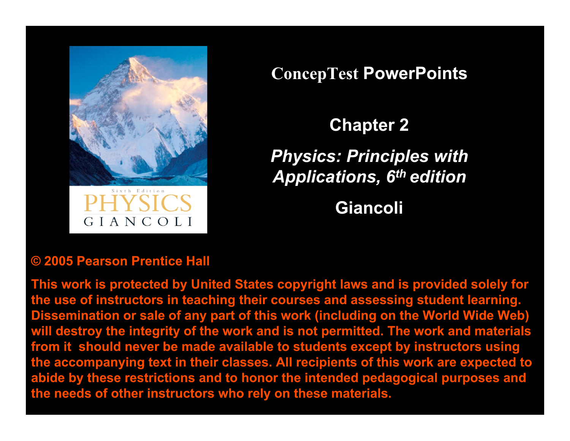

**ConcepTest PowerPoints**

**Chapter 2**

*Physics: Principles with Applications, 6th edition*

**Giancoli**

### **© 2005 Pearson Prentice Hall**

**This work is protected by United States copyright laws and is provided solely for the use of instructors in teaching their courses and assessing student learning. Dissemination or sale of any part of this work (including on the World Wide Web) will destroy the integrity of the work and is not permitted. The work and materials from it should never be made available to students except by instructors using the accompanying text in their classes. All recipients of this work are expected to abide by these restrictions and to honor the intended pedagogical purposes and the needs of other instructors who rely on these materials.**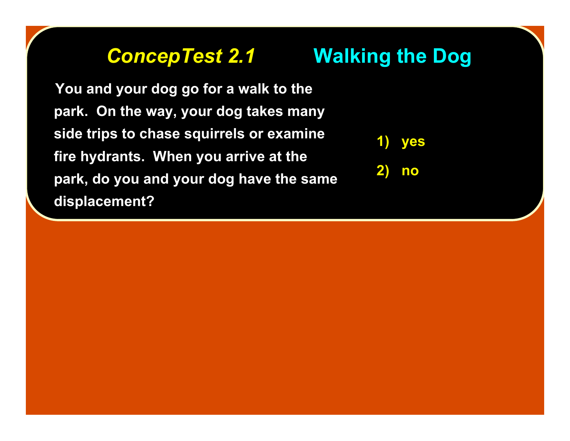## *ConcepTest 2.1 ConcepTest 2.1* **Walking the Dog Walking the Dog**

 **You and your dog go for a walk to the You and your dog go for a walk to the park. On the way, your dog takes many park. On the way, your dog takes many side trips to chase squirrels or examine side trips to chase squirrels or fire hydrants. When you arrive at the fire hydrants. When you arrive at the park, do you and your dog have the same park, do you and your dog have the same displacement? displacement?**



**2) no**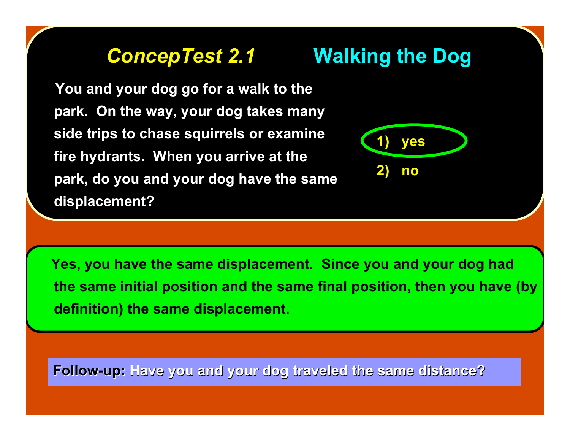## *ConcepTest 2.1 ConcepTest 2.1* **Walking the Dog Walking the Dog**

 **You and your dog go for a walk to the You and your dog go for a walk to the park. On the way, your dog takes many park. On the way, your dog takes many side trips to chase squirrels or examine side trips to chase squirrels or fire hydrants. When you arrive at the fire hydrants. When you arrive at the park, do you and your dog have the same park, do you and your dog have the same displacement? displacement?**



 **Yes, you have the same displacement. Since you and your dog had the same initial position and the same final position, then you have (by definition) the same displacement.**

Follow-up: Have you and your dog traveled the same distance?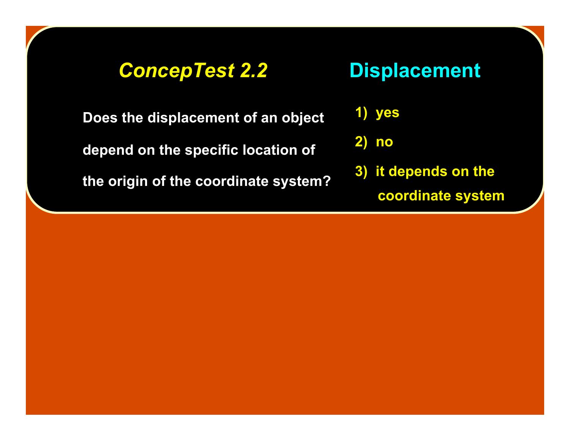### *ConcepTest 2.2 ConcepTest 2.2* **Displacement Displacement**

**Does the displacement of an object Does the displacement of an object**

**depend on the specific location of depend on the specific location of**

**the origin of the coordinate system? the origin of the coordinate system?**

**1) yes**

**2) no**

**3) it depends on the coordinate system**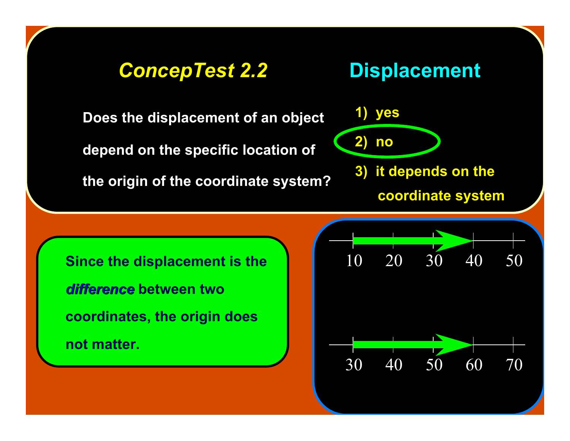### *ConcepTest 2.2 ConcepTest 2.2* **Displacement Displacement**

**Does the displacement of an object Does the displacement of an object**

**depend on the specific location of depend on the specific location of**

**the origin of the coordinate system? the origin of the coordinate system?**



**Since the displacement is the** *difference difference* **between two coordinates, the origin does not matter.**

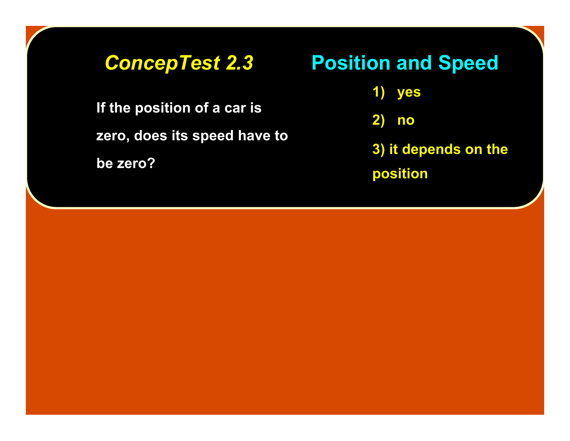**If the position of a car is If the position of a car is zero, does its speed have to zero, does its speed have to**

**be zero? be zero?**

### *ConcepTest 2.3 ConcepTest 2.3* **Position and Speed Position and Speed**

**1) yes**

**2) no**

**3) it depends on the position**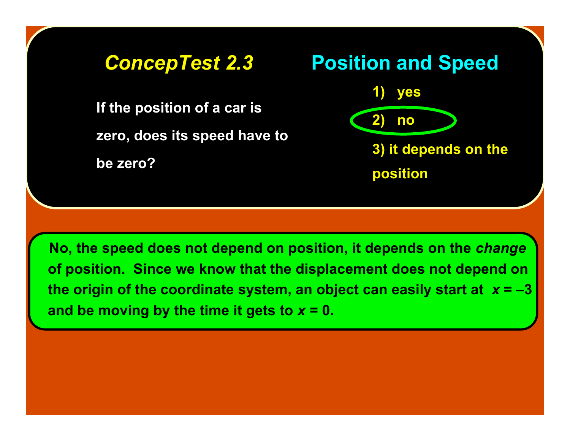### **If the position of a car is If the position of a car is zero, does its speed have to zero, does its speed have to be zero? be zero? 1) yes 2) no 3) it depends on the position** *ConcepTest 2.3 ConcepTest 2.3* **Position and Speed Position and Speed**

 **No, the speed does not depend on position, it depends on the** *change* **of position. Since we know that the displacement does not depend on the origin of the coordinate system, an object can easily start at** *x* **= –3** and be moving by the time it gets to  $x = 0$ .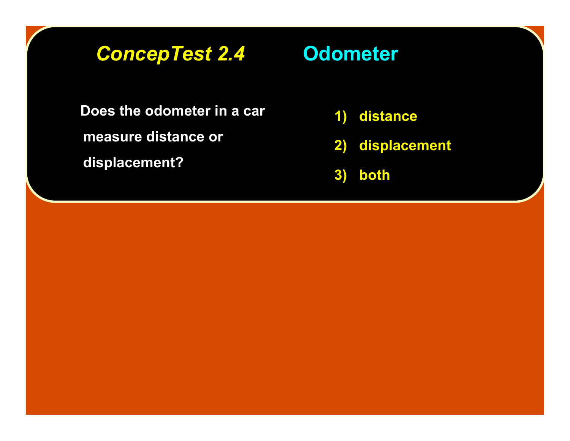## *ConcepTest 2.4 ConcepTest 2.4* **Odometer Odometer**

**Does the odometer in a car measure distance or measure distance or displacement? displacement?**

- **1) distance**
- **2) displacement**
- **3) both**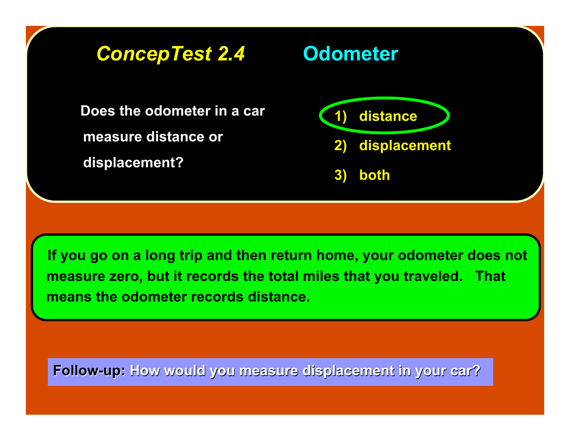

 **If you go on a long trip and then return home, your odometer does not measure zero, but it records the total miles that you traveled. That means the odometer records distance.**

**Follow-up:** How would you measure displacement in your car?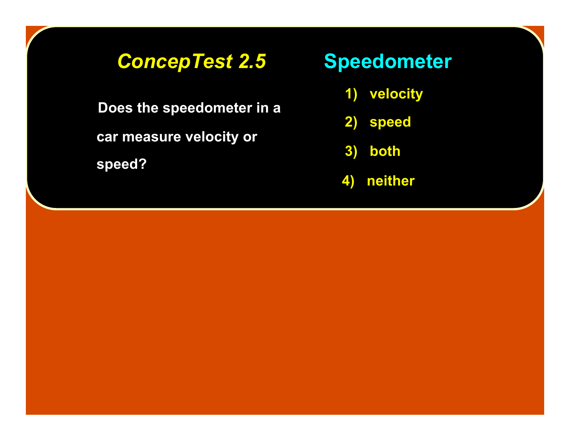## *ConcepTest 2.5 ConcepTest 2.5* **Speedometer Speedometer**

 **Does the speedometer in a Does the speedometer in a car measure velocity or car measure velocity or speed?**

- **1) velocity**
- **2) speed**
- **3) both**
- **4) neither**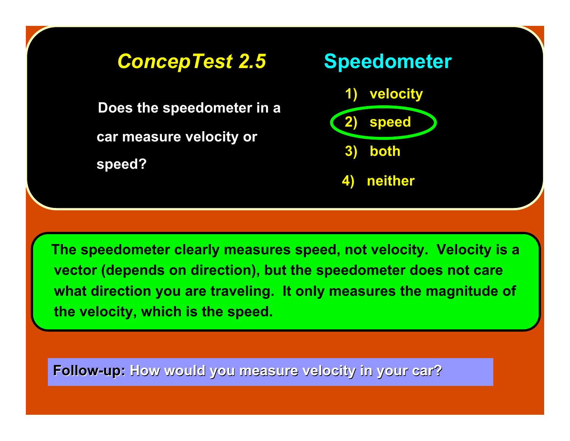

 **The speedometer clearly measures speed, not velocity. Velocity is a vector (depends on direction), but the speedometer does not care what direction you are traveling. It only measures the magnitude of the velocity, which is the speed.**

**Follow-up:** How would you measure velocity in your car?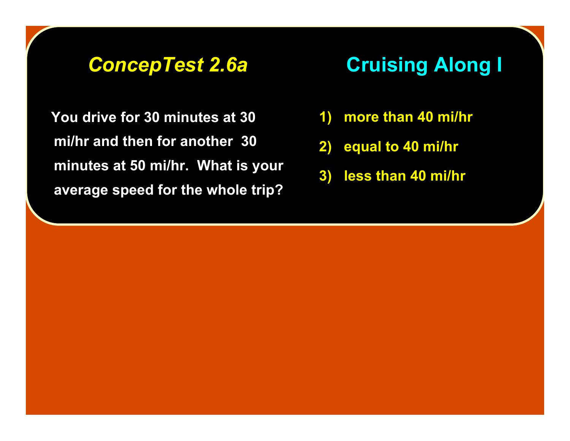*ConcepTest 2.6a ConcepTest 2.6a* **Cruising Along I Cruising Along I**

 **You drive for 30 minutes at 30 mi/hr and then for another 30 minutes at 50 mi/hr. What is your average speed for the whole trip?**

- **1) more than 40 mi/hr**
- **2) equal to 40 mi/hr**
- **3) less than 40 mi/hr**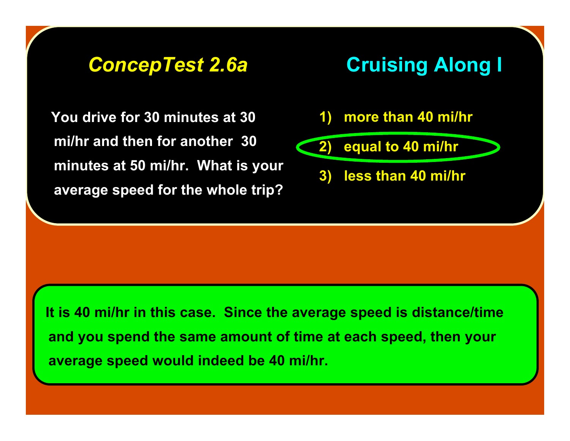### *ConcepTest 2.6a ConcepTest 2.6a* **Cruising Along I Cruising Along I**

 **You drive for 30 minutes at 30 mi/hr and then for another 30 minutes at 50 mi/hr. What is your average speed for the whole trip?**

- **1) more than 40 mi/hr**
- 
- **2) equal to 40 mi/hr**
	- **3) less than 40 mi/hr**

 **It is 40 mi/hr in this case. Since the average speed is distance/time and you spend the same amount of time at each speed, then your average speed would indeed be 40 mi/hr.**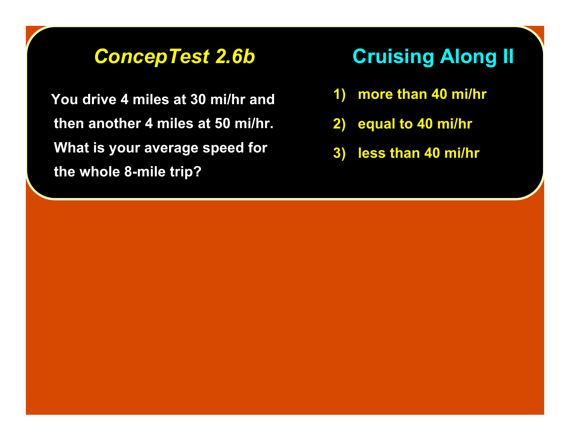**You drive 4 miles at 30 mi/hr and then another 4 miles at 50 mi/hr. What is your average speed for the whole 8-mile trip?**

## *ConcepTest 2.6b ConcepTest 2.6b* **Cruising Along II Cruising Along II**

- **1) more than 40 mi/hr**
- **2) equal to 40 mi/hr**
- **3) less than 40 mi/hr**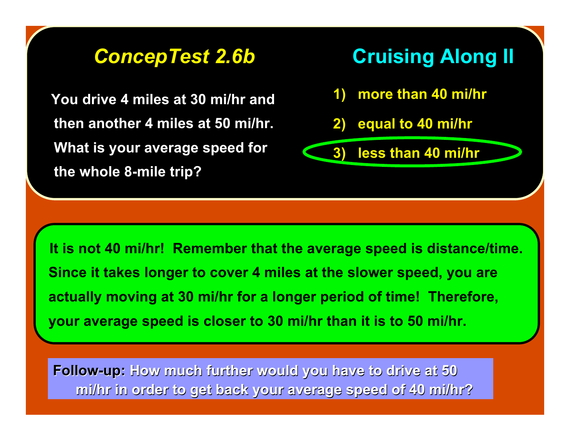**You drive 4 miles at 30 mi/hr and then another 4 miles at 50 mi/hr. What is your average speed for the whole 8-mile trip?**



 **It is not 40 mi/hr! Remember that the average speed is distance/time. Since it takes longer to cover 4 miles at the slower speed, you are actually moving at 30 mi/hr for a longer period of time! Therefore, your average speed is closer to 30 mi/hr than it is to 50 mi/hr.**

**Follow-up:** How much further would you have to drive at 50 **mi/hr in order to get back your average speed of 40 mi/hr? mi/hr in order to get back your average speed of 40 mi/hr?**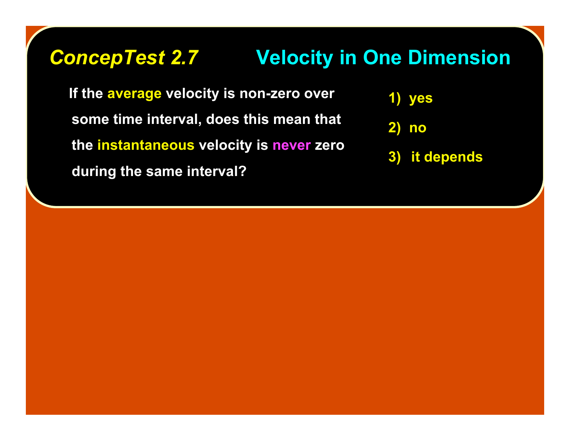## **ConcepTest 2.7 Velocity in One Dimension**

If the average velocity is non-zero over **some time interval, does this mean that some time interval, does this mean that the instantaneous instantaneous velocity is velocity is never zero during the same interval? during the same interval?**



**2) no**

**3) it depends**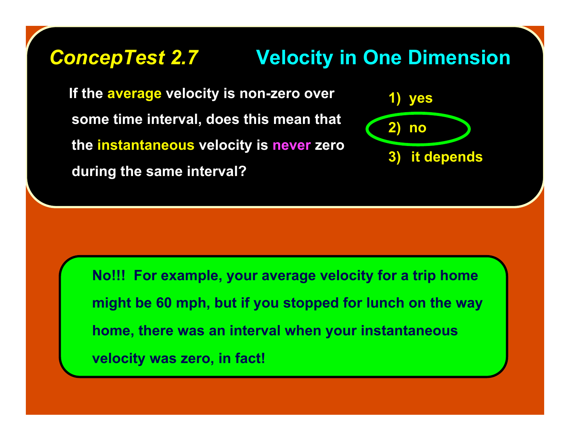## **ConcepTest 2.7 Velocity in One Dimension**

**If the average velocity is non-zero over some time interval, does this mean that some time interval, does this mean that the instantaneous instantaneous velocity is velocity is never zero during the same interval? during the same interval?**



**No!!! For example, your average velocity for a trip home might be 60 mph, but if you stopped for lunch on the way home, there was an interval when your instantaneous velocity was zero, in fact!**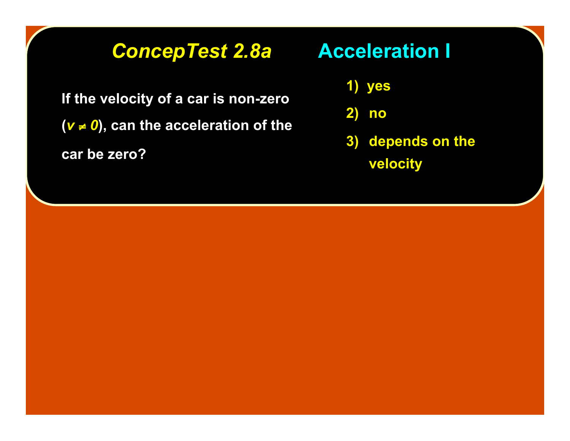### *ConcepTest 2.8a ConcepTest 2.8a* **Acceleration I Acceleration I**

**If the velocity of a car is non-zero If the velocity of a car is non-zero**  $(v \ne 0)$ , can the acceleration of the **car be zero? car be zero?**

**1) yes**

**2) no**

**3) depends on the**

**velocity**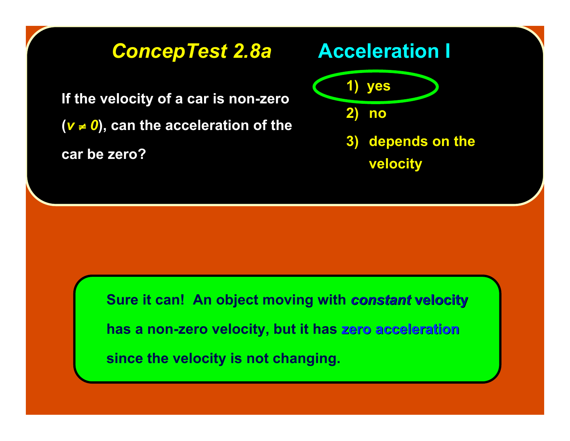### *ConcepTest 2.8a ConcepTest 2.8a* **Acceleration I Acceleration I**

**If the velocity of a car is non-zero If the velocity of a car is non-zero**  $(v \neq 0)$ , can the acceleration of the **car be zero? car be zero?**





**3) depends on the velocity**

**Sure it can! An object moving with** *constant* **velocity has a non-zero velocity, but it has zero acceleration acceleration since the velocity is not changing.**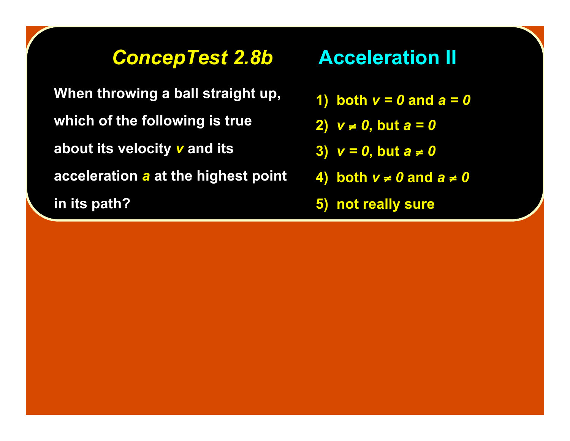### **ConcepTest 2.8b •• Acceleration II**

**When throwing a ball straight up, which of the following is true which of the following is true about its velocity** *v* **and its acceleration a at the highest point in its path? in its path?**

- **1)** both  $v = 0$  and  $a = 0$
- **2)** *v* ≠ *0***, but** *a = 0*
- **3)**  $v = 0$ , but  $a ≠ 0$
- **4)** both *v* **≠ 0 and**  $a \ne 0$
- **5) not really sure 5) not really sure**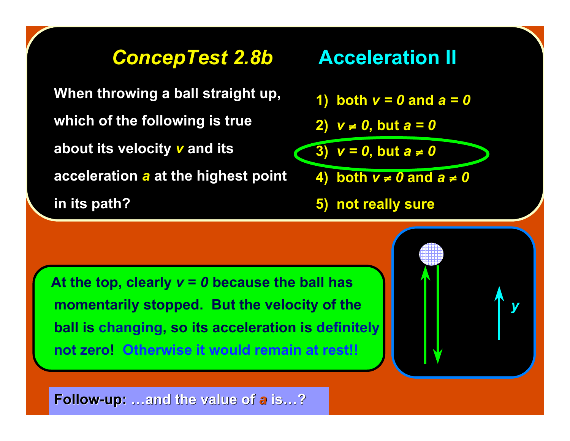### **ConcepTest 2.8b •• Acceleration II**

**When throwing a ball straight up, which of the following is true which of the following is true about its velocity v and its acceleration a at the highest point in its path? in its path?**

- **1)** both  $v = 0$  and  $a = 0$
- **2)** *v* ≠ *0***, but** *a = 0*

 $\overline{3}$   $\overline{v} = 0$ , but  $\overline{a} \neq 0$ 

- **4)** both  $v \neq 0$  and  $a \neq 0$
- **5) not really sure 5) not really sure**

At the top, clearly  $v = 0$  because the ball has **momentarily stopped. But the velocity of the ball is changing, so its acceleration is definitely not zero! Otherwise it would remain at rest!!**



**Follow-up: ...and the value of a is…?**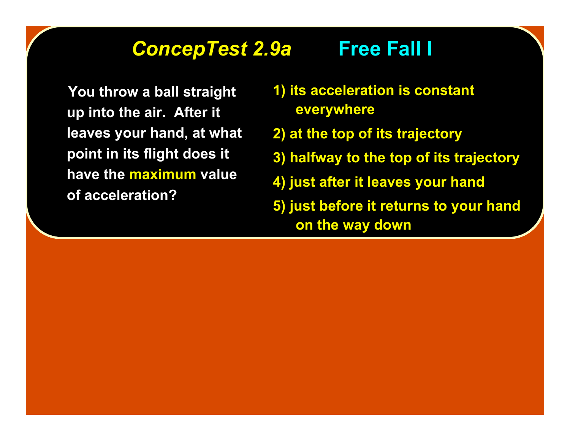### **ConcepTest 2.9a Free Fall I**

You throw a ball straight **up into the air. After it up into the air. After it leaves your hand, at what point in its flight does it point in its flight does it** have the **maximum** value **of acceleration? of acceleration?**

- **1) its acceleration is constant 1) its acceleration is constant everywhere everywhere**
- **2) at the top of its trajectory 2) at the top of its trajectory**
- **3) halfway to the top of its trajectory 3) halfway to the top of its trajectory**
- **4) just after it leaves your hand 4) just after it leaves your hand**
- **5) just before it returns to your hand 5) just before it returns to your hand on the way down on the way down**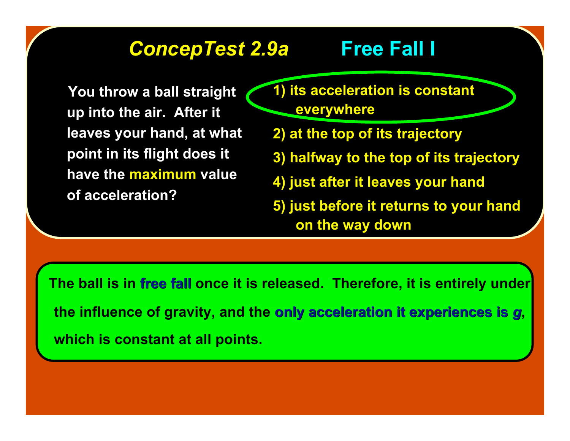## *ConcepTest 2.9a ConcepTest 2.9a* **Free Fall I Free Fall I**

You throw a ball straight **up into the air. After it up into the air. After it leaves your hand, at what point in its flight does it point in its flight does it have the maximum value of acceleration? of acceleration?**

- **1) its acceleration is constant 1) its acceleration is constant everywhere everywhere**
- **2) at the top of its trajectory 2) at the top of its trajectory**
- **3) halfway to the top of its trajectory 3) halfway to the top of its trajectory**
- **4) just after it leaves your hand 4) just after it leaves your hand**
- **5) just before it returns to your hand 5) just before it returns to your hand on the way down on the way down**

 **The ball is in free fall free fall once it is released. Therefore, it is entirely under the influence of gravity, and the only acceleration it experiences is only acceleration it experiences is** *g***, which is constant at all points.**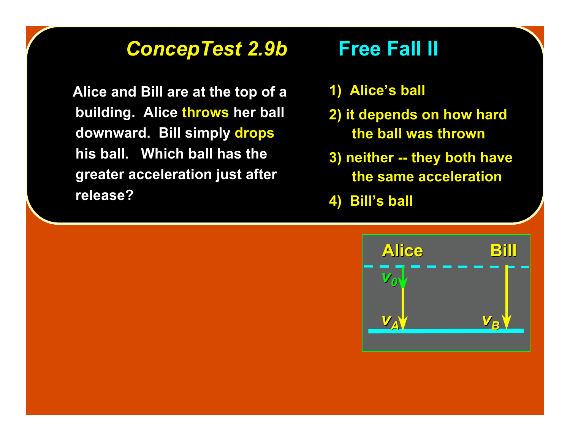### *ConcepTest 2.9b ConcepTest 2.9b* **Free Fall II Free Fall II**

**Alice and Bill are at the top of a building. Alice throws her ball downward. Bill simply drops his ball. Which ball has the his ball. Which ball has the greater acceleration just after greater acceleration just after release? release?**

- **1) Alice 1) Alice's ball**
- **2) it depends on how hard 2) it depends on how hard the ball was thrown the ball was thrown**
- **3) neither -- they both have the same acceleration the same acceleration**
- **4) Bill 4) Bill's ball**

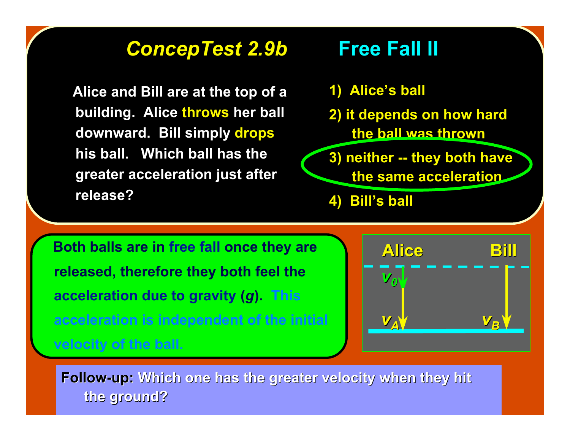## *ConcepTest 2.9b ConcepTest 2.9b* **Free Fall II Free Fall II**

**Alice and Bill are at the top of a building. Alice throws her ball downward. Bill simply drops his ball. Which ball has the his ball. Which ball has the greater acceleration just after greater acceleration just after release? release?**

### **1) Alice's ball 2) it depends on how hard 2) it depends on how hard the ball was thrown the ball was thrown**

**3) neither -- they both have the same acceleration the same acceleration**

**4) Bill 4) Bill's ball**

 **Both balls are in free fall once they are released, therefore they both feel the acceleration due to gravity (***g***). This acceleration is independent of the initial velocity of the ball.**



**Follow-up:** Which one has the greater velocity when they hit **the ground? the ground?**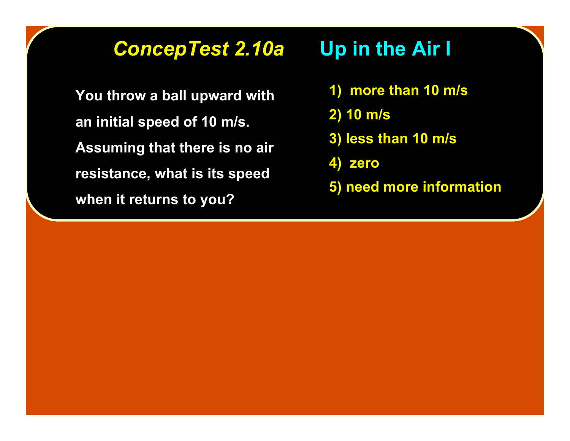## *ConcepTest 2.10a ConcepTest 2.10a* **Up in the Air I Up in the Air I**

**You throw a ball upward with You throw a ball upward with an initial speed of 10 m/s. an initial speed of 10 m/s. Assuming that there is no air resistance, what is its speed resistance, what is its speed when it returns to you? when it returns to you?**

- **1) more than 10 m/s 1) more than 10 m/s**
- **2) 10 m/s 2) 10 m/s**
- **3) less than 10 m/s 3) less than 10 m/s**
- **4) zero 4) zero**
- **5) need more information 5) need more information**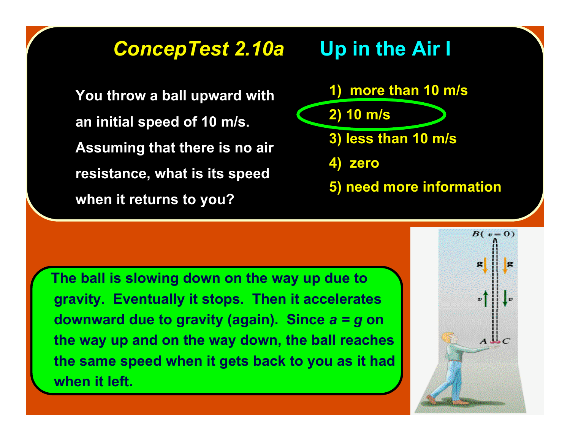### *ConcepTest 2.10a ConcepTest 2.10a* **Up in the Air I Up in the Air I**

**You throw a ball upward with an initial speed of 10 m/s. an initial speed of 10 m/s. Assuming that there is no air resistance, what is its speed resistance, what is its speed when it returns to you? when it returns to you?**



 **The ball is slowing down on the way up due to gravity. Eventually it stops. Then it accelerates downward due to gravity (again). Since** *a = g* **on the way up and on the way down, the ball reaches the same speed when it gets back to you as it had when it left.**

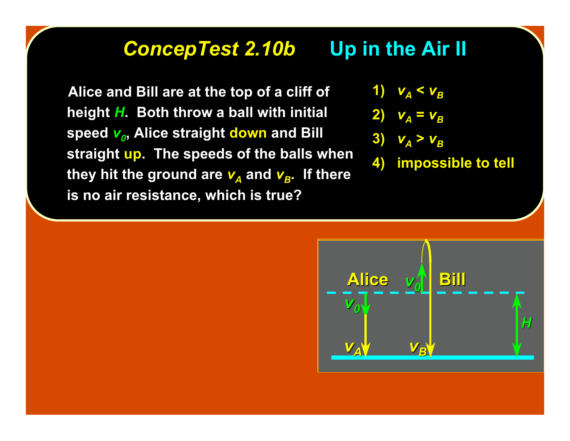### *ConcepTest 2.10b ConcepTest 2.10b* **Up in the Air II Up in the Air II**

 **Alice and Bill are at the top of a cliff of Alice and Bill are at the top of a cliff of height** *H***. Both throw a ball with initial . Both throw a ball with initial speed**  $v_0$ , Alice straight **down** and Bill **straight up. The speeds of the balls when they hit the ground are**  $v_A$  **and**  $v_B$ **. If there is no air resistance, which is true?** 

1)  $V_A < V_B$ 

$$
2) \quad v_A = v_B
$$

$$
3) \quad v_A > v_B
$$

**4) impossible to tell 4) impossible to tell**

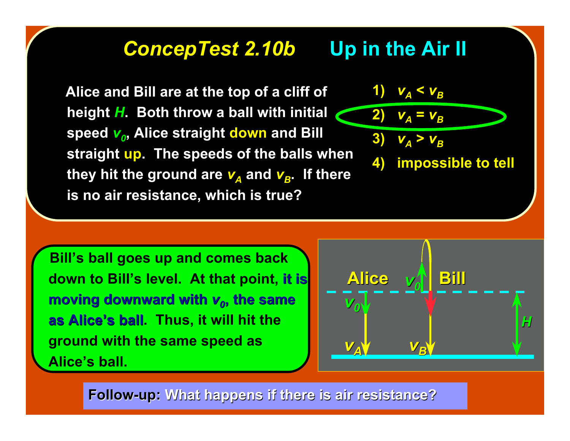### *ConcepTest 2.10b ConcepTest 2.10b* **Up in the Air II Up in the Air II**

 **Alice and Bill are at the top of a cliff of Alice and Bill are at the top of a cliff of height** *H***. Both throw a ball with initial . Both throw a ball with initial speed**  $v_0$ , Alice straight down and Bill **straight straight up. The speeds of the balls when . The speeds of the balls when they hit the ground are**  $v_A$  **and**  $v_B$ **. If there is no air resistance, which is true?** 

 **Bill's ball goes up and comes back down to Bill's level. At that point, it is moving downward with**  $v<sub>0</sub>$ **, the same as Alice as Alice's ball. Thus, it will hit the ground with the same speed as Alice's ball.**



 $V_A < V_B$ 

**4) impossible to tell 4) impossible to tell**

**2)**  $v_A = v_B$ 

3)  $V_A > V_B$ 

**Follow-up:** What happens if there is air resistance?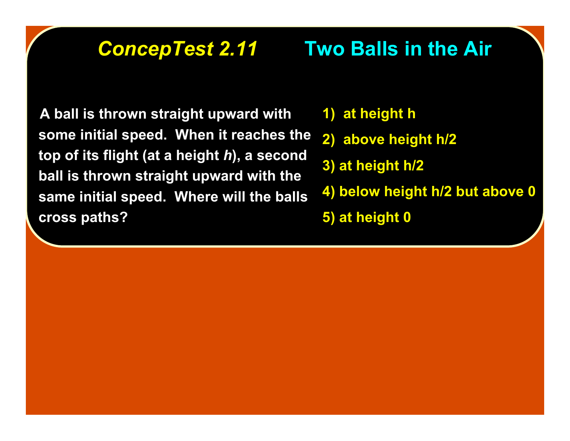# **ConcepTest 2.11 •• Two Balls in the Air**

 **A ball is thrown straight upward with some initial speed. When it reaches the top of its flight (at a height** *h***), a second ball is thrown straight upward with the same initial speed. Where will the balls cross paths?**

- **1) at height h**
- **2) above height h/2**
- **3) at height h/2**
- **4) below height h/2 but above 0**
- **5) at height 0**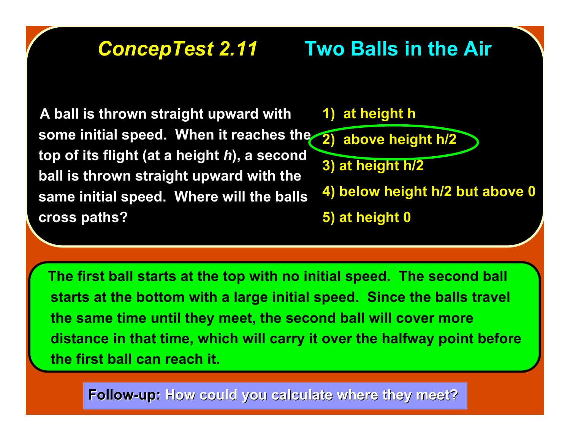# **ConcepTest 2.11 •• Two Balls in the Air**

 **A ball is thrown straight upward with some initial speed. When it reaches the 2) above height h/2 top of its flight (at a height** *h***), a second ball is thrown straight upward with the same initial speed. Where will the balls cross paths?**



 **The first ball starts at the top with no initial speed. The second ball starts at the bottom with a large initial speed. Since the balls travel the same time until they meet, the second ball will cover more distance in that time, which will carry it over the halfway point before the first ball can reach it.**

**Follow-up:** How could you calculate where they meet?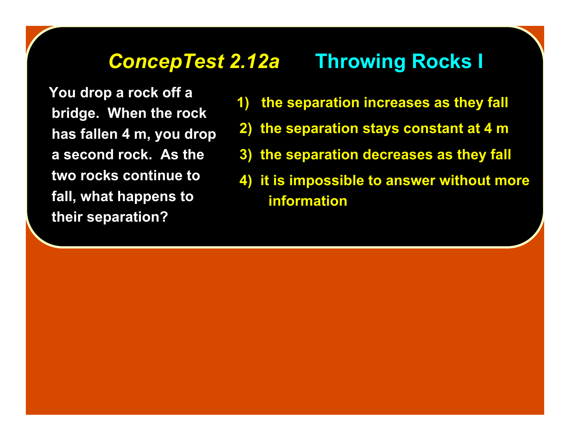### *ConcepTest 2.12a ConcepTest 2.12a* **Throwing Rocks I Throwing Rocks I**

 **You drop a rock off a bridge. When the rock has fallen 4 m, you drop a second rock. As the two rocks continue to fall, what happens to their separation?**

- **1) the separation increases as they fall**
- **2) the separation stays constant at 4 m**
- **3) the separation decreases as they fall**
- **4) it is impossible to answer without more information**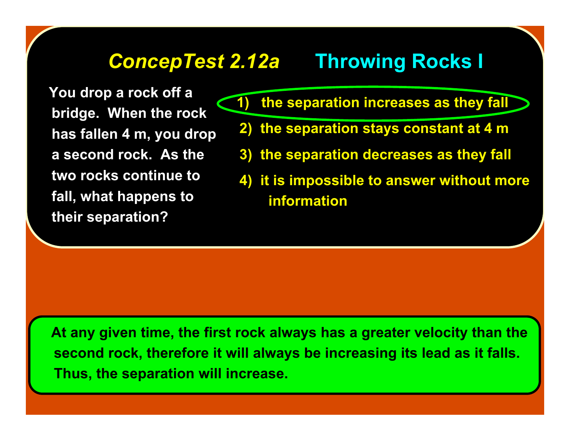## *ConcepTest 2.12a ConcepTest 2.12a* **Throwing Rocks I Throwing Rocks I**

 **You drop a rock off a bridge. When the rock has fallen 4 m, you drop a second rock. As the two rocks continue to fall, what happens to their separation?**

 **1) the separation increases as they fall**

- **2) the separation stays constant at 4 m**
- **3) the separation decreases as they fall**
- **4) it is impossible to answer without more information**

 **At any given time, the first rock always has a greater velocity than the second rock, therefore it will always be increasing its lead as it falls. Thus, the separation will increase.**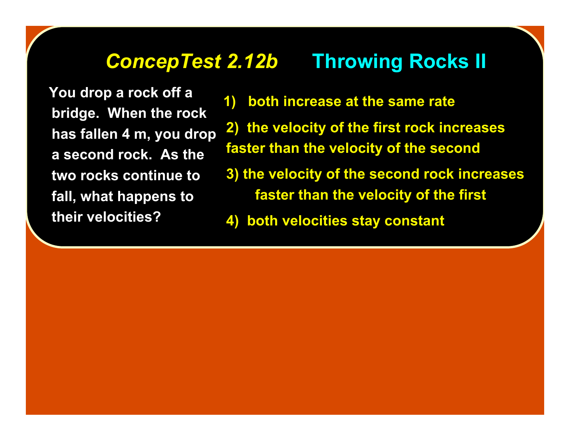### *ConcepTest 2.12b ConcepTest 2.12b* **Throwing Rocks II Throwing Rocks II**

 **You drop a rock off a bridge. When the rock has fallen 4 m, you drop a second rock. As the two rocks continue to fall, what happens to their velocities?**

- **1) both increase at the same rate**
- **2) the velocity of the first rock increases faster than the velocity of the second**
- **3) the velocity of the second rock increases faster than the velocity of the first**
- **4) both velocities stay constant**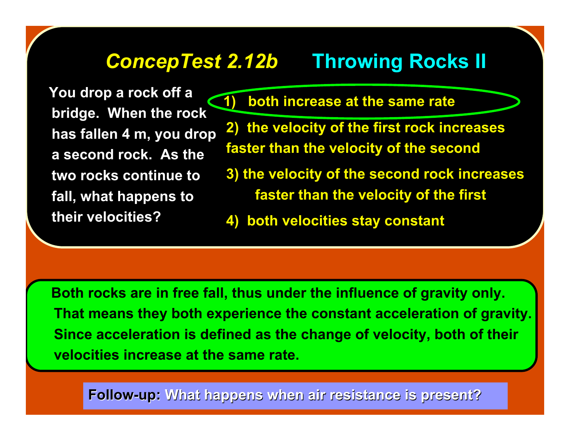## *ConcepTest 2.12b ConcepTest 2.12b* **Throwing Rocks II Throwing Rocks II**

 **You drop a rock off a bridge. When the rock has fallen 4 m, you drop a second rock. As the two rocks continue to fall, what happens to their velocities?**

 **1) both increase at the same rate**

**2) the velocity of the first rock increases faster than the velocity of the second**

**3) the velocity of the second rock increases faster than the velocity of the first**

**4) both velocities stay constant**

 **Both rocks are in free fall, thus under the influence of gravity only. That means they both experience the constant acceleration of gravity. Since acceleration is defined as the change of velocity, both of their velocities increase at the same rate.**

**Follow-up: Follow-up: What happens when air resistance is present? What happens when air resistance is present?**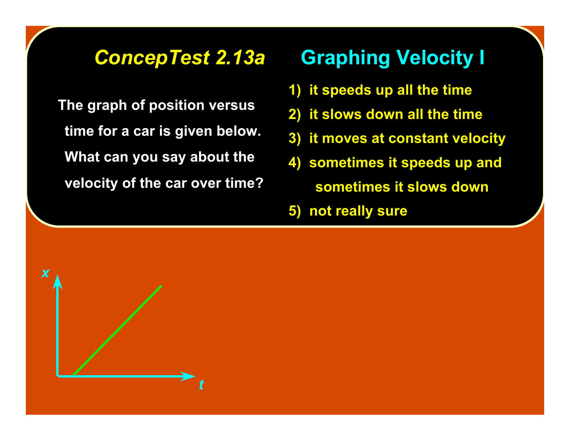**The graph of position versus The graph of position versus time for a car is given below. time for a car is given below. What can you say about the What can you say about the velocity of the car over time? of the car over time?**

## *ConcepTest 2.13a ConcepTest 2.13a* **Graphing Velocity I Graphing Velocity I**

- **1) it speeds up all the time**
- **2) it slows down all the time**
- **3) it moves at constant velocity**
- **4) sometimes it speeds up and sometimes it slows down**
- **5) not really sure**

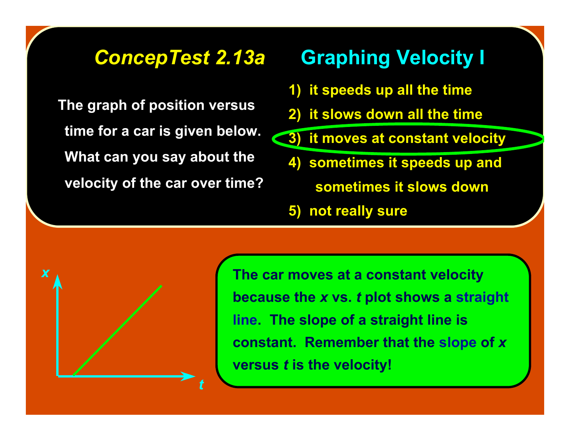**The graph of position versus The graph of position versus time for a car is given below. time for a car is given below. What can you say about the What can you say about the velocity of the car over time? of the car over time?**

## *ConcepTest 2.13a ConcepTest 2.13a* **Graphing Velocity I Graphing Velocity I**

- **1) it speeds up all the time**
- **2) it slows down all the time**
- **3) it moves at constant velocity**
	- **4) sometimes it speeds up and**
		- **sometimes it slows down**
	- **5) not really sure**

*t x*

**The car moves at a constant velocity because the** *x* **vs.** *t* **plot shows a straight line. The slope of a straight line is constant. Remember that the slope of** *x* **versus** *t* **is the velocity!**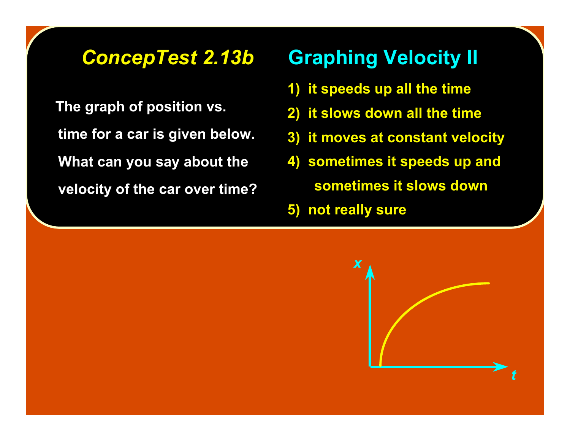**The graph of position vs. time for a car is given below. time for a car is given below. What can you say about the velocity of the car over time? velocity of the car over time?**

## *ConcepTest 2.13b ConcepTest 2.13b* **Graphing Velocity II Graphing Velocity II**

- **1) it speeds up all the time**
- **2) it slows down all the time**
- **3) it moves at constant velocity**
- **4) sometimes it speeds up and sometimes it slows down**
- **5) not really sure**

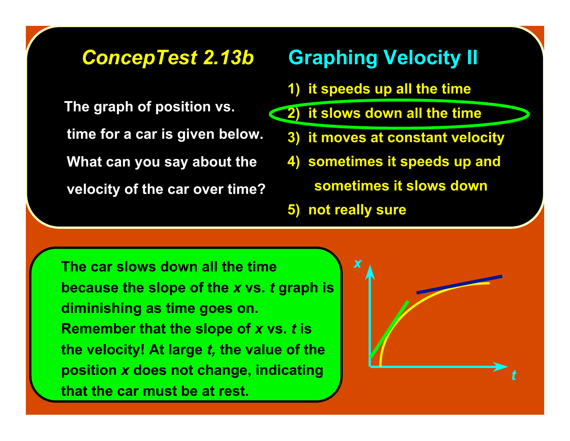The graph of position vs. **time for a car is given below. time for a car is given below. What can you say about the velocity of the car over time? velocity of the car over time?**

## *ConcepTest 2.13b ConcepTest 2.13b* **Graphing Velocity II Graphing Velocity II**

- **1) it speeds up all the time**
- **2) it slows down all the time**
	- **3) it moves at constant velocity**
	- **4) sometimes it speeds up and**
		- **sometimes it slows down**
	- **5) not really sure**

**The car slows down all the time because the slope of the** *x* **vs.** *t* **graph is diminishing as time goes on. Remember that the slope of** *x* **vs.** *t* **is the velocity! At large** *t,* **the value of the position** *x* **does not change, indicating that the car must be at rest.**

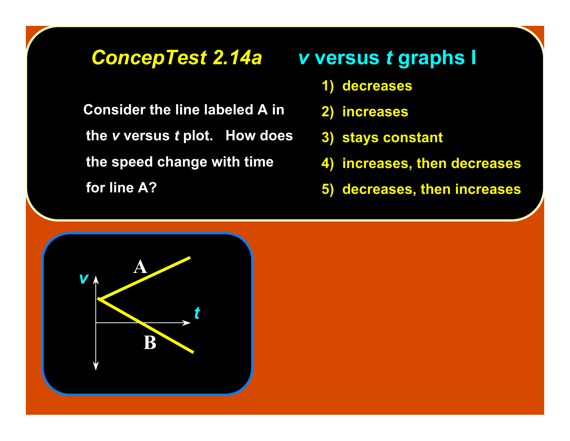**Consider the line labeled A in** *the v* **versus** *t* **plot. How does the speed change with time the speed change with time for line A? for line A?**

### *ConcepTest 2.14a ConcepTest 2.14a v* **versus versus** *t* **graphs I graphs I**

- **1) decreases 1) decreases**
- **2) increases 2)**
- **3) stays constant 3) stays constant**
- **4) increases, then decreases 4) increases, then decreases**
- **5) decreases, then increases 5) decreases, then increases**

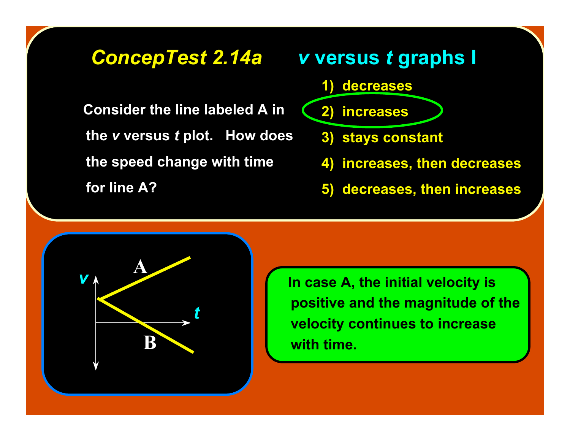**Consider the line labeled A in** *the v* **versus** *t* **plot. How does the speed change with time the speed change with time for line A? for line A?**



**5) decreases, then increases 5) decreases, then increases**



 **In case A, the initial velocity is positive and the magnitude of the velocity continues to increase with time.**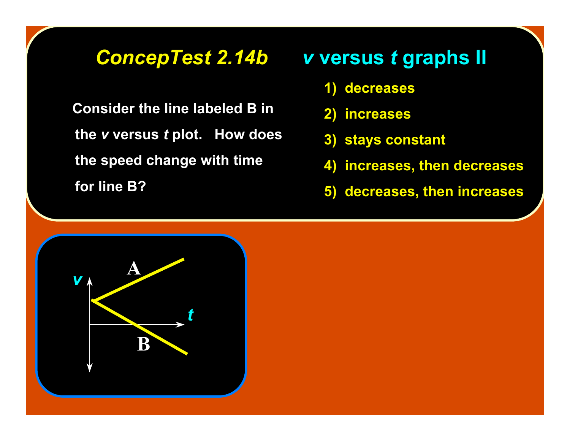**Consider the line labeled B in** *the v* **versus** *t* **plot. How does the speed change with time the speed change with time for line B? for line B?**

### *ConcepTest 2.14b ConcepTest 2.14b v* **versus versus** *t* **graphs II graphs II**

- **1) decreases 1) decreases**
- **2) increases 2) increases**
- **3) stays constant 3) stays constant**
- **4) increases, then decreases 4) increases, then decreases**
- **5) decreases, then increases 5) decreases, then increases**

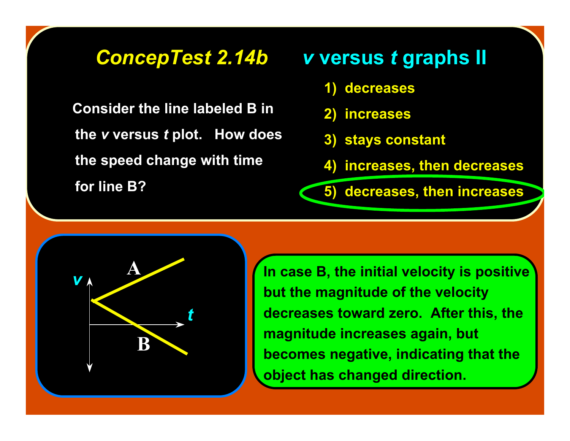**Consider the line labeled B in** *the v* **versus** *t* **plot. How does the speed change with time the speed change with time for line B? for line B?**

### *ConcepTest 2.14b ConcepTest 2.14b v* **versus versus** *t* **graphs II graphs II**

- **1) decreases 1) decreases**
- **2) increases 2) increases**
- **3) stays constant 3) stays constant**
- **4) increases, then decreases 4) increases, then decreases**

**5) decreases, then increases 5) decreases, then increases**



**In case B, the initial velocity is positive but the magnitude of the velocity decreases toward zero. After this, the magnitude increases again, but becomes negative, indicating that the object has changed direction.**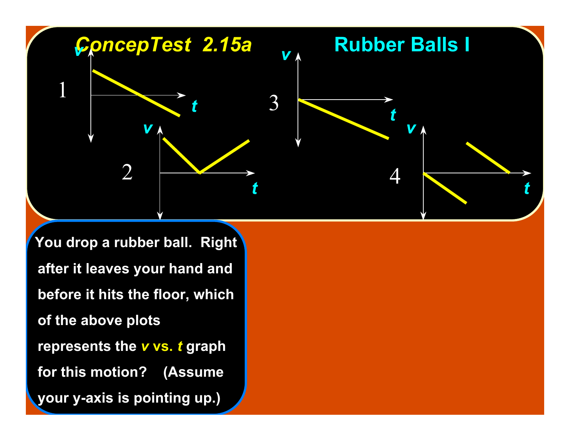

**You drop a rubber ball. Right after it leaves your hand and after it leaves your hand and before it hits the floor, which before it hits the floor, which of the above plots of the above plots represents the** *v* **vs.** *t* **graph for this motion? (Assume for this motion? (Assume your y-axis is pointing up.) your y-axis is pointing up.)**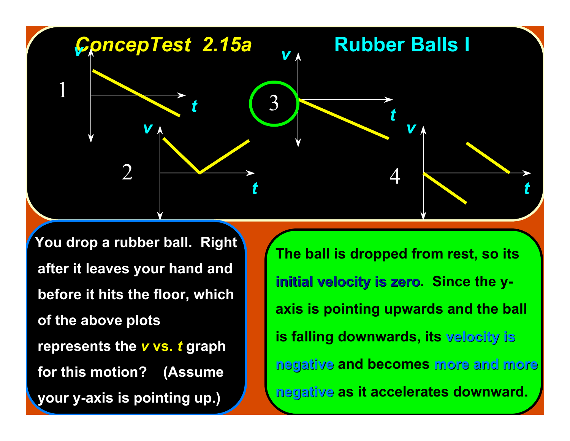

**You drop a rubber ball. Right after it leaves your hand and after it leaves your hand and before it hits the floor, which before it hits the floor, which of the above plots of the above plots represents the** *v**vs.**t* **graph for this motion? (Assume for this motion? (Assume your y-axis is pointing up.) your y-axis is pointing up.)**

**The ball is dropped from rest, so its initial velocity is zero. Since the yaxis is pointing upwards and the ball is falling downwards, its velocity is velocity is negative negative and becomes more and more more and more negative negative as it accelerates downward.**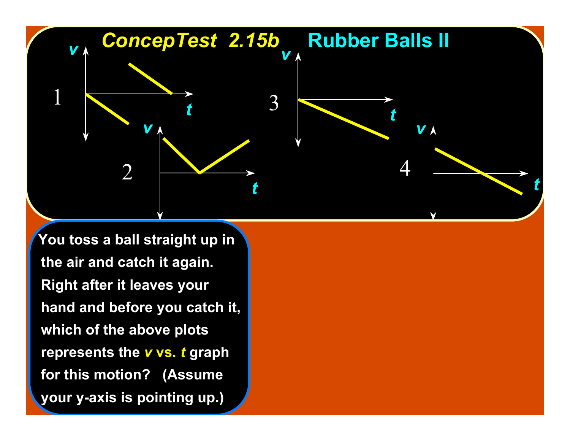

 **You toss a ball straight up in You toss a straight up in the air and catch it again. the air and catch it again. Right after it leaves your hand and before you catch it, hand and before you catch it, which of the above plots which of the above plots represents the** *v**vs.**t* **graph for this motion? (Assume for this motion? (Assume your y-axis is pointing up.) your y-axis is pointing up.)**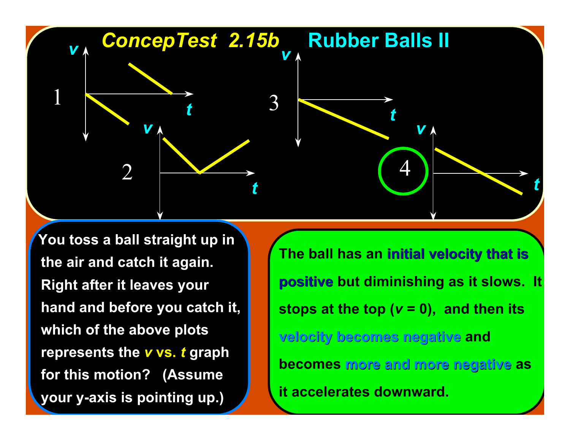

**You toss a ball straight up in the air and catch it again. the air and catch it again. Right after it leaves your hand and before you catch it, hand and before you catch it, which of the above plots which of the above plots represents the** *v**vs.**t* **graph for this motion? (Assume for this motion? (Assume your y-axis is pointing up.) your y-axis is pointing up.)**

**The ball has an initial velocity that is initial velocity that is positive positive but diminishing as it slows. It stops at the top (***v* **= 0), and then its velocity becomes negative velocity becomes negative and becomes more and more negative more and more negative as it accelerates downward.**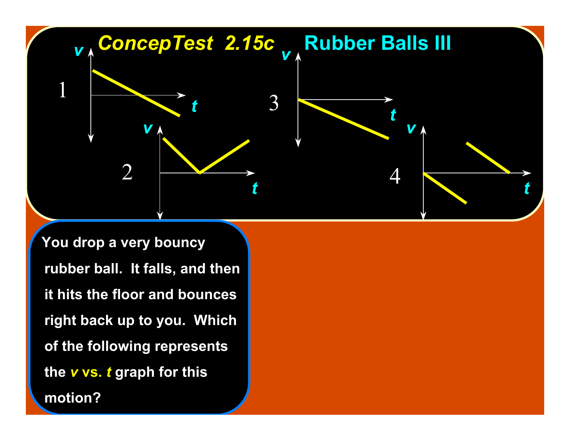

You drop a very bouncy **rubber ball. It falls, and then rubber ball. It falls, and then it hits the floor and bounces it hits the floor and bounces right back up to you. Which right back up to you. Which of the following represents of the following represents the** *v* **vs.** *t* **graph for this motion? motion?**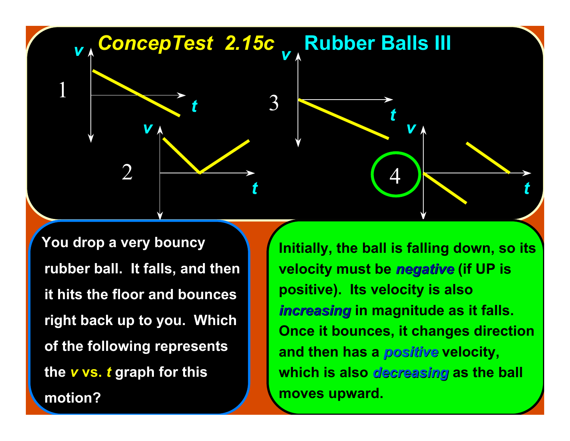

 **You drop a very bouncy You drop a very bouncy rubber ball. It falls, and then rubber ball. It falls, and then it hits the floor and bounces it hits the floor and bounces right back up to you. Which right back up to you. Which of the following represents of the following represents the** *v* **vs.** *t* **graph for this graph for this motion? motion?**

**Initially, the ball is falling down, so its velocity must be** *negative negative* **(if UP is positive). Its velocity is also** *increasing* in magnitude as it falls. **Once it bounces, it changes direction and then has a** *positive positive* **velocity, which is also** *decreasing decreasing* **as the ball moves upward.**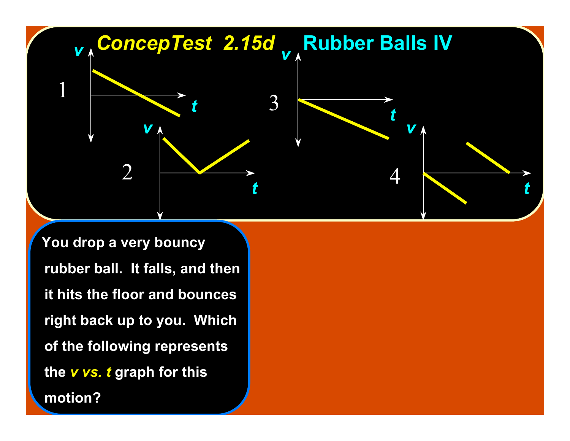

You drop a very bouncy **rubber ball. It falls, and then rubber ball. It falls, and then it hits the floor and bounces it hits the floor and bounces right back up to you. Which right back up to you. Which of the following represents of the following represents the** *v vs. t v vs. t* **graph for this graph for this motion? motion?**